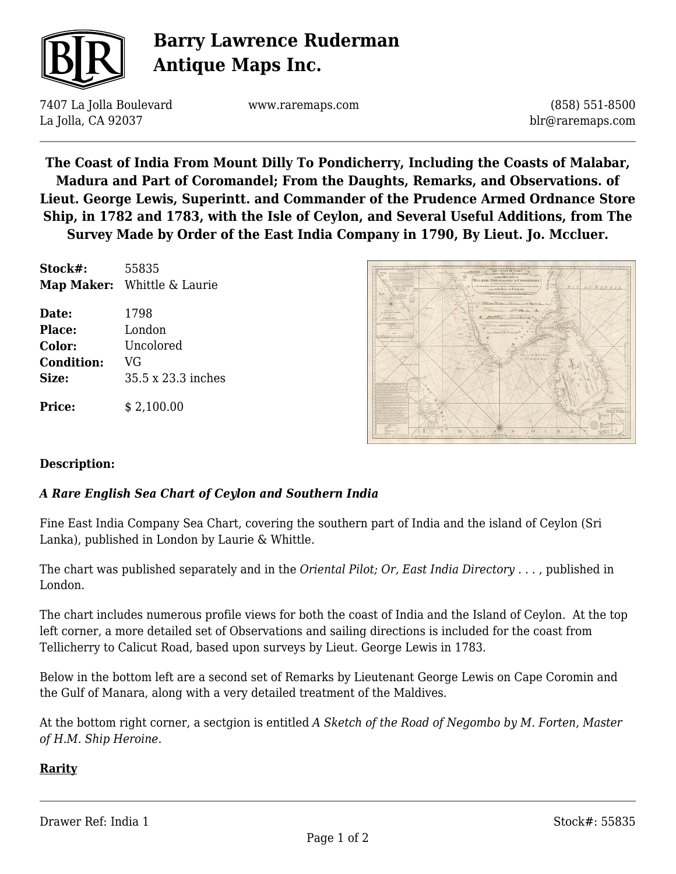

# **Barry Lawrence Ruderman Antique Maps Inc.**

7407 La Jolla Boulevard La Jolla, CA 92037

www.raremaps.com

(858) 551-8500 blr@raremaps.com

**The Coast of India From Mount Dilly To Pondicherry, Including the Coasts of Malabar, Madura and Part of Coromandel; From the Daughts, Remarks, and Observations. of Lieut. George Lewis, Superintt. and Commander of the Prudence Armed Ordnance Store Ship, in 1782 and 1783, with the Isle of Ceylon, and Several Useful Additions, from The Survey Made by Order of the East India Company in 1790, By Lieut. Jo. Mccluer.**

| Stock#:           | 55835<br>Map Maker: Whittle & Laurie |
|-------------------|--------------------------------------|
| Date:             | 1798                                 |
| Place:            | London                               |
| Color:            | Uncolored                            |
| <b>Condition:</b> | VG                                   |
| Size:             | 35.5 x 23.3 inches                   |
| <b>Price:</b>     | \$2,100.00                           |



### **Description:**

### *A Rare English Sea Chart of Ceylon and Southern India*

Fine East India Company Sea Chart, covering the southern part of India and the island of Ceylon (Sri Lanka), published in London by Laurie & Whittle.

The chart was published separately and in the *Oriental Pilot; Or, East India Directory* . . . , published in London.

The chart includes numerous profile views for both the coast of India and the Island of Ceylon. At the top left corner, a more detailed set of Observations and sailing directions is included for the coast from Tellicherry to Calicut Road, based upon surveys by Lieut. George Lewis in 1783.

Below in the bottom left are a second set of Remarks by Lieutenant George Lewis on Cape Coromin and the Gulf of Manara, along with a very detailed treatment of the Maldives.

At the bottom right corner, a sectgion is entitled *A Sketch of the Road of Negombo by M. Forten, Master of H.M. Ship Heroine*.

### **Rarity**